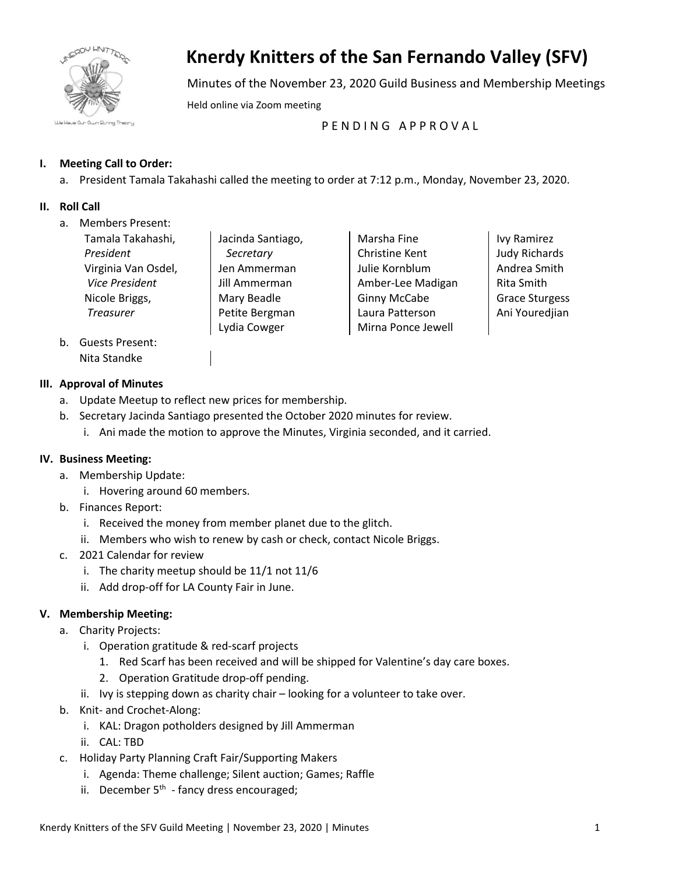

# **Knerdy Knitters of the San Fernando Valley (SFV)**

Minutes of the November 23, 2020 Guild Business and Membership Meetings

Held online via Zoom meeting

PENDING APPROVAL

## **I. Meeting Call to Order:**

a. President Tamala Takahashi called the meeting to order at 7:12 p.m., Monday, November 23, 2020.

## **II. Roll Call**

a. Members Present:

| Tamala Takahashi,   |
|---------------------|
| President           |
| Virginia Van Osdel, |
| Vice President      |
| Nicole Briggs,      |
| <b>Treasurer</b>    |
|                     |

Jacinda Santiago, *Secretary* Jen Ammerman Jill Ammerman Mary Beadle Petite Bergman Lydia Cowger

Marsha Fine Christine Kent Julie Kornblum Amber-Lee Madigan Ginny McCabe Laura Patterson Mirna Ponce Jewell

Ivy Ramirez Judy Richards Andrea Smith Rita Smith Grace Sturgess Ani Youredjian

b. Guests Present: Nita Standke

## **III. Approval of Minutes**

- a. Update Meetup to reflect new prices for membership.
- b. Secretary Jacinda Santiago presented the October 2020 minutes for review.
	- i. Ani made the motion to approve the Minutes, Virginia seconded, and it carried.

## **IV. Business Meeting:**

- a. Membership Update:
	- i. Hovering around 60 members.
- b. Finances Report:
	- i. Received the money from member planet due to the glitch.
	- ii. Members who wish to renew by cash or check, contact Nicole Briggs.
- c. 2021 Calendar for review
	- i. The charity meetup should be 11/1 not 11/6
	- ii. Add drop-off for LA County Fair in June.

## **V. Membership Meeting:**

- a. Charity Projects:
	- i. Operation gratitude & red-scarf projects
		- 1. Red Scarf has been received and will be shipped for Valentine's day care boxes.
		- 2. Operation Gratitude drop-off pending.
	- ii. Ivy is stepping down as charity chair looking for a volunteer to take over.
- b. Knit- and Crochet-Along:
	- i. KAL: Dragon potholders designed by Jill Ammerman
	- ii. CAL: TBD
- c. Holiday Party Planning Craft Fair/Supporting Makers
	- i. Agenda: Theme challenge; Silent auction; Games; Raffle
	- ii. December  $5<sup>th</sup>$  fancy dress encouraged;